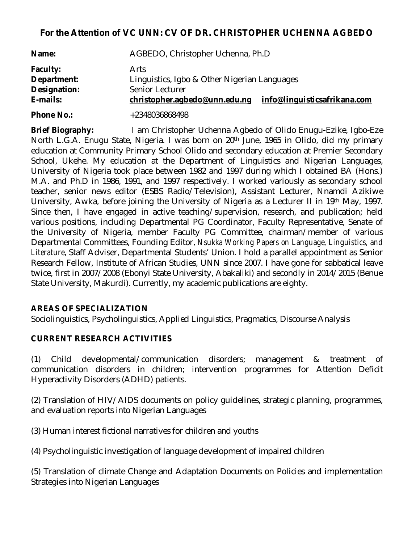# **For the Attention of VC UNN: CV OF DR. CHRISTOPHER UCHENNA AGBEDO**

| Name:             | AGBEDO, Christopher Uchenna, Ph.D            |                              |
|-------------------|----------------------------------------------|------------------------------|
| <b>Faculty:</b>   | Arts                                         |                              |
| Department:       | Linguistics, Igbo & Other Nigerian Languages |                              |
| Designation:      | Senior Lecturer                              |                              |
| E-mails:          | christopher.agbedo@unn.edu.ng                | info@linguisticsafrikana.com |
| <b>Phone No.:</b> | +2348036868498                               |                              |

**Brief Biography:** I am Christopher Uchenna Agbedo of Olido Enugu-Ezike, Igbo-Eze North L.G.A. Enugu State, Nigeria. I was born on 20th June, 1965 in Olido, did my primary education at Community Primary School Olido and secondary education at Premier Secondary School, Ukehe. My education at the Department of Linguistics and Nigerian Languages, University of Nigeria took place between 1982 and 1997 during which I obtained BA (Hons.) M.A. and Ph.D in 1986, 1991, and 1997 respectively. I worked variously as secondary school teacher, senior news editor (ESBS Radio/Television), Assistant Lecturer, Nnamdi Azikiwe University, Awka, before joining the University of Nigeria as a Lecturer II in 19th May, 1997. Since then, I have engaged in active teaching/supervision, research, and publication; held various positions, including Departmental PG Coordinator, Faculty Representative, Senate of the University of Nigeria, member Faculty PG Committee, chairman/member of various Departmental Committees, Founding Editor, *Nsukka Working Papers on Language, Linguistics, and Literature*, Staff Adviser, Departmental Students' Union. I hold a parallel appointment as Senior Research Fellow, Institute of African Studies, UNN since 2007. I have gone for sabbatical leave twice, first in 2007/2008 (Ebonyi State University, Abakaliki) and secondly in 2014/2015 (Benue State University, Makurdi). Currently, my academic publications are eighty.

### **AREAS OF SPECIALIZATION**

Sociolinguistics, Psycholinguistics, Applied Linguistics, Pragmatics, Discourse Analysis

### **CURRENT RESEARCH ACTIVITIES**

(1) Child developmental/communication disorders; management & treatment of communication disorders in children; intervention programmes for Attention Deficit Hyperactivity Disorders (ADHD) patients.

(2) Translation of HIV/AIDS documents on policy guidelines, strategic planning, programmes, and evaluation reports into Nigerian Languages

(3) Human interest fictional narratives for children and youths

(4) Psycholinguistic investigation of language development of impaired children

(5) Translation of climate Change and Adaptation Documents on Policies and implementation Strategies into Nigerian Languages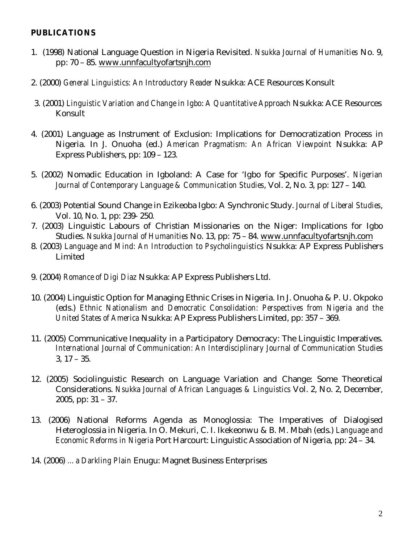### **PUBLICATIONS**

- 1. (1998) National Language Question in Nigeria Revisited. *Nsukka Journal of Humanities* No. 9, pp: 70 – 85. www.unnfacultyofartsnjh.com
- 2. (2000) *General Linguistics: An Introductory Reader* Nsukka: ACE Resources Konsult
- 3. (2001) *Linguistic Variation and Change in Igbo*: *A Quantitative Approach* Nsukka: ACE Resources Konsult
- 4. (2001) Language as Instrument of Exclusion: Implications for Democratization Process in Nigeria. In J. Onuoha (ed.) *American Pragmatism: An African Viewpoint* Nsukka: AP Express Publishers, pp: 109 – 123.
- 5. (2002) Nomadic Education in Igboland: A Case for 'Igbo for Specific Purposes'. *Nigerian Journal of Contemporary Language & Communication Studies*, Vol. 2, No. 3, pp: 127 – 140.
- 6. (2003) Potential Sound Change in Ezikeoba Igbo: A Synchronic Study. *Journal of Liberal Studies*, Vol. 10, No. 1, pp: 239- 250.
- 7. (2003) Linguistic Labours of Christian Missionaries on the Niger: Implications for Igbo Studies. *Nsukka Journal of Humanities* No. 13, pp: 75 – 84. www.unnfacultyofartsnjh.com
- 8. (2003) *Language and Mind: An Introduction to Psycholinguistics* Nsukka: AP Express Publishers Limited
- 9. (2004) *Romance of Digi Diaz* Nsukka: AP Express Publishers Ltd.
- 10. (2004) Linguistic Option for Managing Ethnic Crises in Nigeria. In J. Onuoha & P. U. Okpoko (eds.) *Ethnic Nationalism and Democratic Consolidation: Perspectives from Nigeria and the United States of America* Nsukka: AP Express Publishers Limited, pp: 357 – 369.
- 11. (2005) Communicative Inequality in a Participatory Democracy: The Linguistic Imperatives. *International Journal of Communication: An Interdisciplinary Journal of Communication Studies* 3, 17 – 35.
- 12. (2005) Sociolinguistic Research on Language Variation and Change: Some Theoretical Considerations. *Nsukka Journal of African Languages & Linguistics* Vol. 2, No. 2, December, 2005, pp: 31 – 37.
- 13. (2006) National Reforms Agenda as Monoglossia: The Imperatives of Dialogised Heteroglossia in Nigeria. In O. Mekuri, C. I. Ikekeonwu & B. M. Mbah (eds.) *Language and Economic Reforms in Nigeria* Port Harcourt: Linguistic Association of Nigeria, pp: 24 – 34.
- 14. (2006) *…a Darkling Plain* Enugu: Magnet Business Enterprises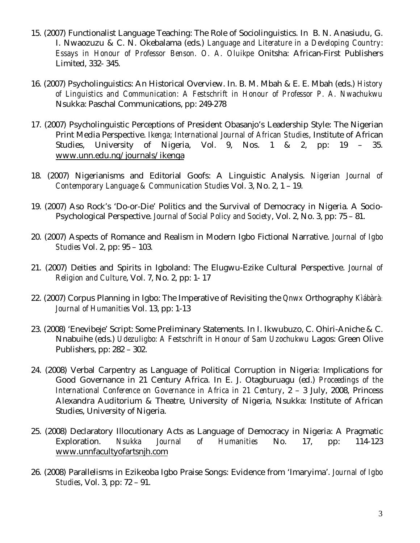- 15. (2007) Functionalist Language Teaching: The Role of Sociolinguistics. In B. N. Anasiudu, G. I. Nwaozuzu & C. N. Okebalama (eds.) *Language and Literature in a Developing Country*: *Essays in Honour of Professor Benson. O. A. Oluikpe* Onitsha: African-First Publishers Limited, 332- 345.
- 16. (2007) Psycholinguistics: An Historical Overview. In. B. M. Mbah & E. E. Mbah (eds.) *History of Linguistics and Communication: A Festschrift in Honour of Professor P. A. Nwachukwu* Nsukka: Paschal Communications, pp: 249-278
- 17. (2007) Psycholinguistic Perceptions of President Obasanjo's Leadership Style: The Nigerian Print Media Perspective. *Ikenga; International Journal of African Studies*, Institute of African Studies, University of Nigeria, Vol. 9, Nos. 1 & 2, pp: 19 – 35. www.unn.edu.ng/journals/ikenga
- 18. (2007) Nigerianisms and Editorial Goofs: A Linguistic Analysis. *Nigerian Journal of Contemporary Language & Communication Studies* Vol. 3, No. 2, 1 – 19.
- 19. (2007) Aso Rock's 'Do-or-Die' Politics and the Survival of Democracy in Nigeria. A Socio-Psychological Perspective. *Journal of Social Policy and Society*, Vol. 2, No. 3, pp: 75 – 81.
- 20. (2007) Aspects of Romance and Realism in Modern Igbo Fictional Narrative. *Journal of Igbo Studies* Vol. 2, pp: 95 – 103.
- 21. (2007) Deities and Spirits in Igboland: The Elugwu-Ezike Cultural Perspective. *Journal of Religion and Culture*, Vol. 7, No. 2, pp: 1- 17
- 22. (2007) Corpus Planning in Igbo: The Imperative of Revisiting the Qnwx Orthography *Kìábàrà: Journal of Humanities* Vol. 13, pp: 1-13
- 23. (2008) 'Enevibeje' Script: Some Preliminary Statements. In I. Ikwubuzo, C. Ohiri-Aniche & C. Nnabuihe (eds.) *Udezuligbo: A Festschrift in Honour of Sam Uzochukwu* Lagos: Green Olive Publishers, pp: 282 – 302.
- 24. (2008) Verbal Carpentry as Language of Political Corruption in Nigeria: Implications for Good Governance in 21 Century Africa. In E. J. Otagburuagu (ed.) *Proceedings of the International Conference on Governance in Africa in 21 Century*, 2 – 3 July, 2008, Princess Alexandra Auditorium & Theatre, University of Nigeria, Nsukka: Institute of African Studies, University of Nigeria.
- 25. (2008) Declaratory Illocutionary Acts as Language of Democracy in Nigeria: A Pragmatic Exploration. *Nsukka Journal of Humanities* No. 17, pp: 114-123 www.unnfacultyofartsnjh.com
- 26. (2008) Parallelisms in Ezikeoba Igbo Praise Songs: Evidence from 'Imaryima'. *Journal of Igbo Studies*, Vol. 3, pp: 72 – 91.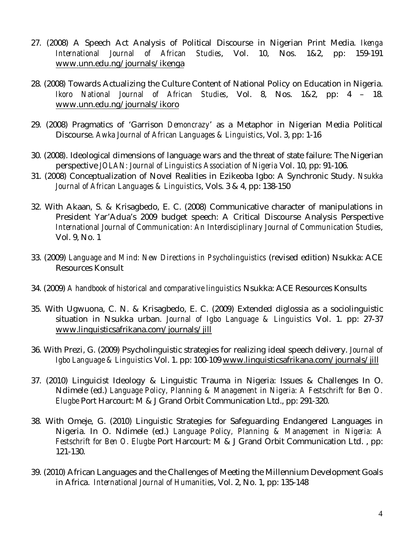- 27. (2008) A Speech Act Analysis of Political Discourse in Nigerian Print Media. *Ikenga International Journal of African Studies*, Vol. 10, Nos. 1&2, pp: 159-191 www.unn.edu.ng/journals/ikenga
- 28. (2008) Towards Actualizing the Culture Content of National Policy on Education in Nigeria. *Ikoro National Journal of African Studies*, Vol. 8, Nos. 1&2, pp: 4 – 18. www.unn.edu.ng/journals/ikoro
- 29. (2008) Pragmatics of 'Garrison *Demoncrazy*' as a Metaphor in Nigerian Media Political Discourse. *Awka Journal of African Languages & Linguistics*, Vol. 3, pp: 1-16
- 30. (2008). Ideological dimensions of language wars and the threat of state failure: The Nigerian perspective *JOLAN: Journal of Linguistics Association of Nigeria* Vol. 10, pp: 91-106.
- 31. (2008) Conceptualization of Novel Realities in Ezikeoba Igbo: A Synchronic Study. *Nsukka Journal of African Languages & Linguistics*, Vols. 3 & 4, pp: 138-150
- 32. With Akaan, S. & Krisagbedo, E. C. (2008) Communicative character of manipulations in President Yar'Adua's 2009 budget speech: A Critical Discourse Analysis Perspective *International Journal of Communication: An Interdisciplinary Journal of Communication Studies*, Vol. 9, No. 1
- 33. (2009) *Language and Mind: New Directions in Psycholinguistics* (revised edition) Nsukka: ACE Resources Konsult
- 34. (2009) *A handbook of historical and comparative linguistics* Nsukka: ACE Resources Konsults
- 35. With Ugwuona, C. N. & Krisagbedo, E. C. (2009) Extended diglossia as a sociolinguistic situation in Nsukka urban. *Journal of Igbo Language & Linguistics* Vol. 1. pp: 27-37 www.linguisticsafrikana.com/journals/jill
- 36. With Prezi, G. (2009) Psycholinguistic strategies for realizing ideal speech delivery. *Journal of Igbo Language & Linguistics* Vol. 1. pp: 100-109 www.linguisticsafrikana.com/journals/jill
- 37. (2010) Linguicist Ideology & Linguistic Trauma in Nigeria: Issues & Challenges In O. Ndimele (ed.) *Language Policy, Planning & Management in Nigeria: A Festschrift for Ben O. Elugbe* Port Harcourt: M & J Grand Orbit Communication Ltd., pp: 291-320.
- 38. With Omeje, G. (2010) Linguistic Strategies for Safeguarding Endangered Languages in Nigeria. In O. Ndimele (ed.) *Language Policy, Planning & Management in Nigeria: A Festschrift for Ben O. Elugbe* Port Harcourt: M & J Grand Orbit Communication Ltd. , pp: 121-130.
- 39. (2010) African Languages and the Challenges of Meeting the Millennium Development Goals in Africa. *International Journal of Humanities*, Vol. 2, No. 1, pp: 135-148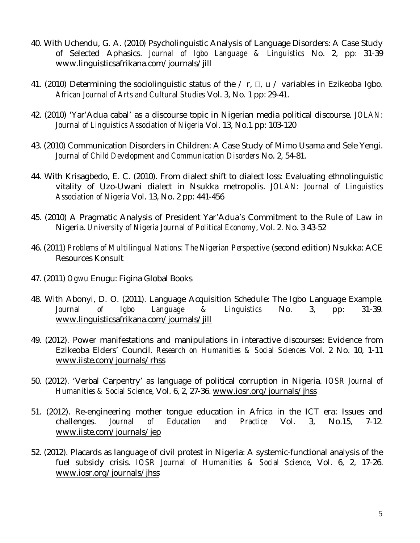- 40. With Uchendu, G. A. (2010) Psycholinguistic Analysis of Language Disorders: A Case Study of Selected Aphasics. *Journal of Igbo Language & Linguistics* No. 2, pp: 31-39 www.linguisticsafrikana.com/journals/jill
- 41. (2010) Determining the sociolinguistic status of the  $\ell$  r,  $\Box$ ,  $\Box$   $\ell$  variables in Ezikeoba Igbo. *African Journal of Arts and Cultural Studies* Vol. 3, No. 1 pp: 29-41.
- 42. (2010) 'Yar'Adua cabal' as a discourse topic in Nigerian media political discourse. *JOLAN: Journal of Linguistics Association of Nigeria* Vol. 13, No.1 pp: 103-120
- 43. (2010) Communication Disorders in Children: A Case Study of Mimo Usama and Sele Yengi. *Journal of Child Development and Communication Disorders* No. 2, 54-81.
- 44. With Krisagbedo, E. C. (2010). From dialect shift to dialect loss: Evaluating ethnolinguistic vitality of Uzo-Uwani dialect in Nsukka metropolis. *JOLAN: Journal of Linguistics Association of Nigeria* Vol. 13, No. 2 pp: 441-456
- 45. (2010) A Pragmatic Analysis of President Yar'Adua's Commitment to the Rule of Law in Nigeria. *University of Nigeria Journal of Political Economy*, Vol. 2. No. 3 43-52
- 46. (2011) *Problems of Multilingual Nations: The Nigerian Perspective* (second edition) Nsukka: ACE Resources Konsult
- 47. (2011) *Ogwu* Enugu: Figina Global Books
- 48. With Abonyi, D. O. (2011). Language Acquisition Schedule: The Igbo Language Example.<br>Journal of Igbo Language & Linguistics No. 3. pp: 31-39. *Journal of Igbo Language & Linguistics* No. 3, pp: 31-39. www.linguisticsafrikana.com/journals/jill
- 49. (2012). Power manifestations and manipulations in interactive discourses: Evidence from Ezikeoba Elders' Council. *Research on Humanities & Social Sciences* Vol. 2 No. 10, 1-11 www.iiste.com/journals/rhss
- 50. (2012). 'Verbal Carpentry' as language of political corruption in Nigeria. *IOSR Journal of Humanities & Social Science*, Vol. 6, 2, 27-36. www.iosr.org/journals/jhss
- 51. (2012). Re-engineering mother tongue education in Africa in the ICT era: Issues and challenges. *Journal of Education and Practice* Vol. 3, No.15, 7-12. www.iiste.com/journals/jep
- 52. (2012). Placards as language of civil protest in Nigeria: A systemic-functional analysis of the fuel subsidy crisis. *IOSR Journal of Humanities & Social Science*, Vol. 6, 2, 17-26. www.iosr.org/journals/jhss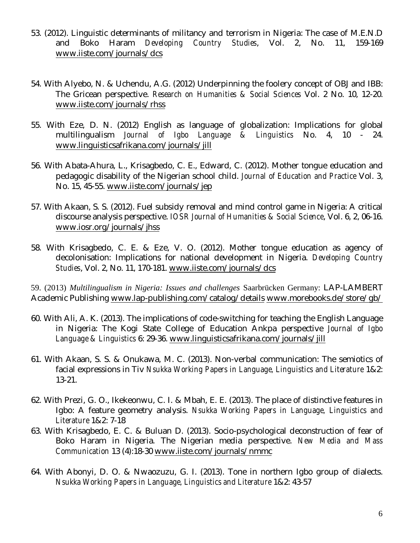- 53. (2012). Linguistic determinants of militancy and terrorism in Nigeria: The case of M.E.N.D and Boko Haram *Developing Country Studies*, Vol. 2, No. 11, 159-169 www.iiste.com/journals/dcs
- 54. With Alyebo, N. & Uchendu, A.G. (2012) Underpinning the foolery concept of OBJ and IBB: The Gricean perspective. *Research on Humanities & Social Sciences* Vol. 2 No. 10, 12-20. www.iiste.com/journals/rhss
- 55. With Eze, D. N. (2012) English as language of globalization: Implications for global multilingualism *Journal of Igbo Language & Linguistics* No. 4, 10 - 24. www.linguisticsafrikana.com/journals/jill
- 56. With Abata-Ahura, L., Krisagbedo, C. E., Edward, C. (2012). Mother tongue education and pedagogic disability of the Nigerian school child. *Journal of Education and Practice* Vol. 3, No. 15, 45-55. www.iiste.com/journals/jep
- 57. With Akaan, S. S. (2012). Fuel subsidy removal and mind control game in Nigeria: A critical discourse analysis perspective. *IOSR Journal of Humanities & Social Science*, Vol. 6, 2, 06-16. www.iosr.org/journals/jhss
- 58. With Krisagbedo, C. E. & Eze, V. O. (2012). Mother tongue education as agency of decolonisation: Implications for national development in Nigeria. *Developing Country Studies*, Vol. 2, No. 11, 170-181. www.iiste.com/journals/dcs

59. (2013) *Multilingualism in Nigeria: Issues and challenges* Saarbrücken Germany: LAP-LAMBERT Academic Publishing www.lap-publishing.com/catalog/details www.morebooks.de/store/gb/

- 60. With Ali, A. K. (2013). The implications of code-switching for teaching the English Language in Nigeria: The Kogi State College of Education Ankpa perspective *Journal of Igbo Language & Linguistics* 6: 29-36. www.linguisticsafrikana.com/journals/jill
- 61. With Akaan, S. S. & Onukawa, M. C. (2013). Non-verbal communication: The semiotics of facial expressions in Tiv *Nsukka Working Papers in Language, Linguistics and Literature* 1&2: 13-21.
- 62. With Prezi, G. O., Ikekeonwu, C. I. & Mbah, E. E. (2013). The place of distinctive features in Igbo: A feature geometry analysis. *Nsukka Working Papers in Language, Linguistics and Literature* 1&2: 7-18
- 63. With Krisagbedo, E. C. & Buluan D. (2013). Socio-psychological deconstruction of fear of Boko Haram in Nigeria. The Nigerian media perspective. *New Media and Mass Communication* 13 (4):18-30 www.iiste.com/journals/nmmc
- 64. With Abonyi, D. O. & Nwaozuzu, G. I. (2013). Tone in northern Igbo group of dialects. *Nsukka Working Papers in Language, Linguistics and Literature* 1&2: 43-57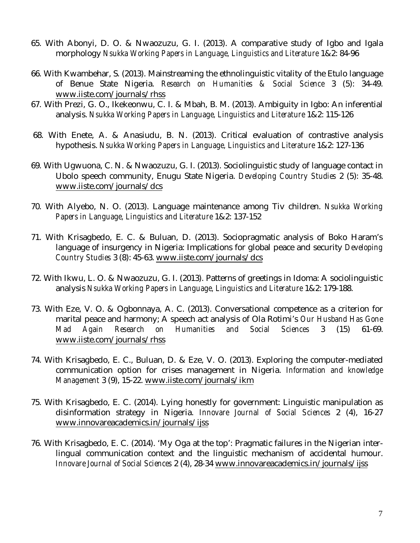- 65. With Abonyi, D. O. & Nwaozuzu, G. I. (2013). A comparative study of Igbo and Igala morphology *Nsukka Working Papers in Language, Linguistics and Literature* 1&2: 84-96
- 66. With Kwambehar, S. (2013). Mainstreaming the ethnolinguistic vitality of the Etulo language of Benue State Nigeria. *Research on Humanities & Social Science* 3 (5): 34-49. www.iiste.com/journals/rhss
- 67. With Prezi, G. O., Ikekeonwu, C. I. & Mbah, B. M. (2013). Ambiguity in Igbo: An inferential analysis. *Nsukka Working Papers in Language, Linguistics and Literature* 1&2: 115-126
- 68. With Enete, A. & Anasiudu, B. N. (2013). Critical evaluation of contrastive analysis hypothesis. *Nsukka Working Papers in Language, Linguistics and Literature* 1&2: 127-136
- 69. With Ugwuona, C. N. & Nwaozuzu, G. I. (2013). Sociolinguistic study of language contact in Ubolo speech community, Enugu State Nigeria. *Developing Country Studies* 2 (5): 35-48. www.iiste.com/journals/dcs
- 70. With Alyebo, N. O. (2013). Language maintenance among Tiv children. *Nsukka Working Papers in Language, Linguistics and Literature* 1&2: 137-152
- 71. With Krisagbedo, E. C. & Buluan, D. (2013). Sociopragmatic analysis of Boko Haram's language of insurgency in Nigeria: Implications for global peace and security *Developing Country Studies* 3 (8): 45-63. www.iiste.com/journals/dcs
- 72. With Ikwu, L. O. & Nwaozuzu, G. I. (2013). Patterns of greetings in Idoma: A sociolinguistic analysis *Nsukka Working Papers in Language, Linguistics and Literature* 1&2: 179-188.
- 73. With Eze, V. O. & Ogbonnaya, A. C. (2013). Conversational competence as a criterion for marital peace and harmony; A speech act analysis of Ola Rotimi's *Our Husband Has Gone Mad Again Research on Humanities and Social Sciences* 3 (15) 61-69. www.iiste.com/journals/rhss
- 74. With Krisagbedo, E. C., Buluan, D. & Eze, V. O. (2013). Exploring the computer-mediated communication option for crises management in Nigeria. *Information and knowledge Management* 3 (9), 15-22. www.iiste.com/journals/ikm
- 75. With Krisagbedo, E. C. (2014). Lying honestly for government: Linguistic manipulation as disinformation strategy in Nigeria. *Innovare Journal of Social Sciences* 2 (4), 16-27 www.innovareacademics.in/journals/ijss
- 76. With Krisagbedo, E. C. (2014). 'My Oga at the top': Pragmatic failures in the Nigerian interlingual communication context and the linguistic mechanism of accidental humour. *Innovare Journal of Social Sciences* 2 (4), 28-34 www.innovareacademics.in/journals/ijss